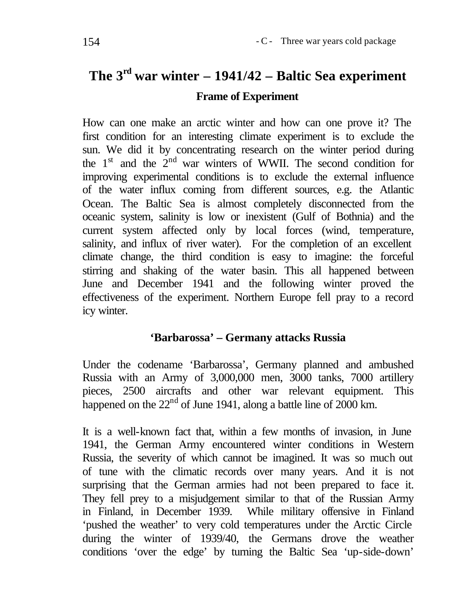# **The 3rd war winter – 1941/42 – Baltic Sea experiment Frame of Experiment**

How can one make an arctic winter and how can one prove it? The first condition for an interesting climate experiment is to exclude the sun. We did it by concentrating research on the winter period during the  $1<sup>st</sup>$  and the  $2<sup>nd</sup>$  war winters of WWII. The second condition for improving experimental conditions is to exclude the external influence of the water influx coming from different sources, e.g. the Atlantic Ocean. The Baltic Sea is almost completely disconnected from the oceanic system, salinity is low or inexistent (Gulf of Bothnia) and the current system affected only by local forces (wind, temperature, salinity, and influx of river water). For the completion of an excellent climate change, the third condition is easy to imagine: the forceful stirring and shaking of the water basin. This all happened between June and December 1941 and the following winter proved the effectiveness of the experiment. Northern Europe fell pray to a record icy winter.

# **'Barbarossa' – Germany attacks Russia**

Under the codename 'Barbarossa', Germany planned and ambushed Russia with an Army of 3,000,000 men, 3000 tanks, 7000 artillery pieces, 2500 aircrafts and other war relevant equipment. This happened on the  $22<sup>nd</sup>$  of June 1941, along a battle line of 2000 km.

It is a well-known fact that, within a few months of invasion, in June 1941, the German Army encountered winter conditions in Western Russia, the severity of which cannot be imagined. It was so much out of tune with the climatic records over many years. And it is not surprising that the German armies had not been prepared to face it. They fell prey to a misjudgement similar to that of the Russian Army in Finland, in December 1939. While military offensive in Finland 'pushed the weather' to very cold temperatures under the Arctic Circle during the winter of 1939/40, the Germans drove the weather conditions 'over the edge' by turning the Baltic Sea 'up-side-down'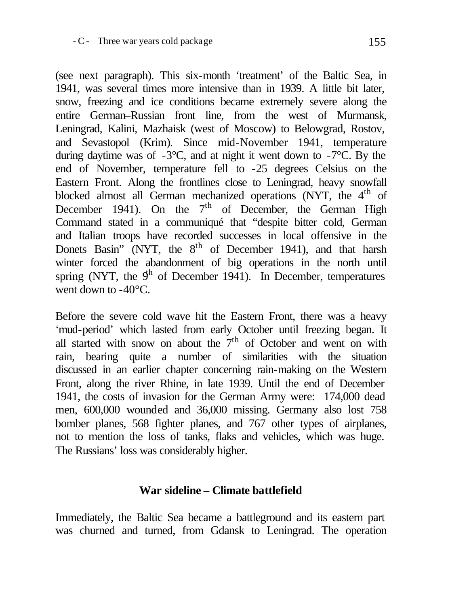(see next paragraph). This six-month 'treatment' of the Baltic Sea, in 1941, was several times more intensive than in 1939. A little bit later, snow, freezing and ice conditions became extremely severe along the entire German–Russian front line, from the west of Murmansk, Leningrad, Kalini, Mazhaisk (west of Moscow) to Belowgrad, Rostov, and Sevastopol (Krim). Since mid-November 1941, temperature during daytime was of  $-3^{\circ}$ C, and at night it went down to  $-7^{\circ}$ C. By the end of November, temperature fell to -25 degrees Celsius on the Eastern Front. Along the frontlines close to Leningrad, heavy snowfall blocked almost all German mechanized operations (NYT, the 4<sup>th</sup> of December 1941). On the  $7<sup>th</sup>$  of December, the German High Command stated in a communiqué that "despite bitter cold, German and Italian troops have recorded successes in local offensive in the Donets Basin" (NYT, the  $8<sup>th</sup>$  of December 1941), and that harsh winter forced the abandonment of big operations in the north until spring (NYT, the  $9<sup>h</sup>$  of December 1941). In December, temperatures went down to -40<sup>o</sup>C.

Before the severe cold wave hit the Eastern Front, there was a heavy 'mud-period' which lasted from early October until freezing began. It all started with snow on about the  $7<sup>th</sup>$  of October and went on with rain, bearing quite a number of similarities with the situation discussed in an earlier chapter concerning rain-making on the Western Front, along the river Rhine, in late 1939. Until the end of December 1941, the costs of invasion for the German Army were: 174,000 dead men, 600,000 wounded and 36,000 missing. Germany also lost 758 bomber planes, 568 fighter planes, and 767 other types of airplanes, not to mention the loss of tanks, flaks and vehicles, which was huge. The Russians' loss was considerably higher.

#### **War sideline – Climate battlefield**

Immediately, the Baltic Sea became a battleground and its eastern part was churned and turned, from Gdansk to Leningrad. The operation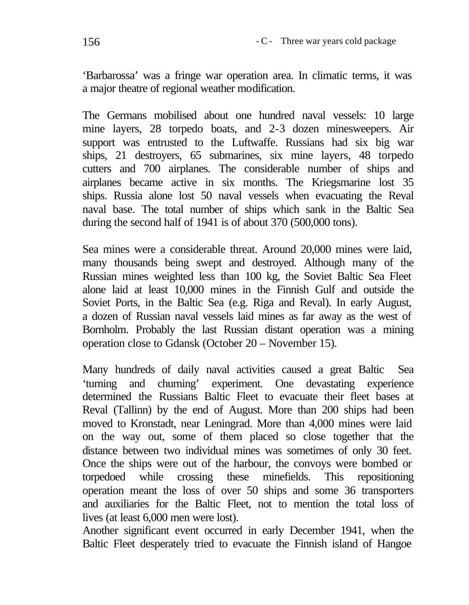'Barbarossa' was a fringe war operation area. In climatic terms, it was a major theatre of regional weather modification.

The Germans mobilised about one hundred naval vessels: 10 large mine layers, 28 torpedo boats, and 2-3 dozen minesweepers. Air support was entrusted to the Luftwaffe. Russians had six big war ships, 21 destroyers, 65 submarines, six mine layers, 48 torpedo cutters and 700 airplanes. The considerable number of ships and airplanes became active in six months. The Kriegsmarine lost 35 ships. Russia alone lost 50 naval vessels when evacuating the Reval naval base. The total number of ships which sank in the Baltic Sea during the second half of 1941 is of about 370 (500,000 tons).

Sea mines were a considerable threat. Around 20,000 mines were laid, many thousands being swept and destroyed. Although many of the Russian mines weighted less than 100 kg, the Soviet Baltic Sea Fleet alone laid at least 10,000 mines in the Finnish Gulf and outside the Soviet Ports, in the Baltic Sea (e.g. Riga and Reval). In early August, a dozen of Russian naval vessels laid mines as far away as the west of Bornholm. Probably the last Russian distant operation was a mining operation close to Gdansk (October 20 – November 15).

Many hundreds of daily naval activities caused a great Baltic Sea 'turning and churning' experiment. One devastating experience determined the Russians Baltic Fleet to evacuate their fleet bases at Reval (Tallinn) by the end of August. More than 200 ships had been moved to Kronstadt, near Leningrad. More than 4,000 mines were laid on the way out, some of them placed so close together that the distance between two individual mines was sometimes of only 30 feet. Once the ships were out of the harbour, the convoys were bombed or torpedoed while crossing these minefields. This repositioning operation meant the loss of over 50 ships and some 36 transporters and auxiliaries for the Baltic Fleet, not to mention the total loss of lives (at least 6,000 men were lost).

Another significant event occurred in early December 1941, when the Baltic Fleet desperately tried to evacuate the Finnish island of Hangoe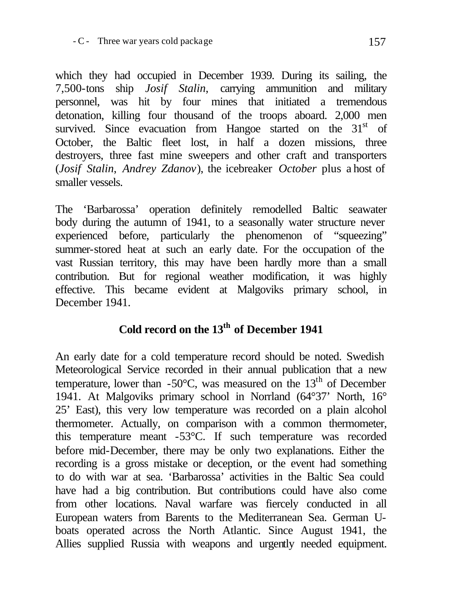which they had occupied in December 1939. During its sailing, the 7,500-tons ship *Josif Stalin*, carrying ammunition and military personnel, was hit by four mines that initiated a tremendous detonation, killing four thousand of the troops aboard. 2,000 men survived. Since evacuation from Hangoe started on the  $31<sup>st</sup>$  of October, the Baltic fleet lost, in half a dozen missions, three destroyers, three fast mine sweepers and other craft and transporters (*Josif Stalin*, *Andrey Zdanov*), the icebreaker *October* plus a host of smaller vessels.

The 'Barbarossa' operation definitely remodelled Baltic seawater body during the autumn of 1941, to a seasonally water structure never experienced before, particularly the phenomenon of "squeezing" summer-stored heat at such an early date. For the occupation of the vast Russian territory, this may have been hardly more than a small contribution. But for regional weather modification, it was highly effective. This became evident at Malgoviks primary school, in December 1941.

# **Cold record on the 13th of December 1941**

An early date for a cold temperature record should be noted. Swedish Meteorological Service recorded in their annual publication that a new temperature, lower than  $-50^{\circ}$ C, was measured on the  $13^{th}$  of December 1941. At Malgoviks primary school in Norrland (64°37' North, 16° 25' East), this very low temperature was recorded on a plain alcohol thermometer. Actually, on comparison with a common thermometer, this temperature meant -53°C. If such temperature was recorded before mid-December, there may be only two explanations. Either the recording is a gross mistake or deception, or the event had something to do with war at sea. 'Barbarossa' activities in the Baltic Sea could have had a big contribution. But contributions could have also come from other locations. Naval warfare was fiercely conducted in all European waters from Barents to the Mediterranean Sea. German Uboats operated across the North Atlantic. Since August 1941, the Allies supplied Russia with weapons and urgently needed equipment.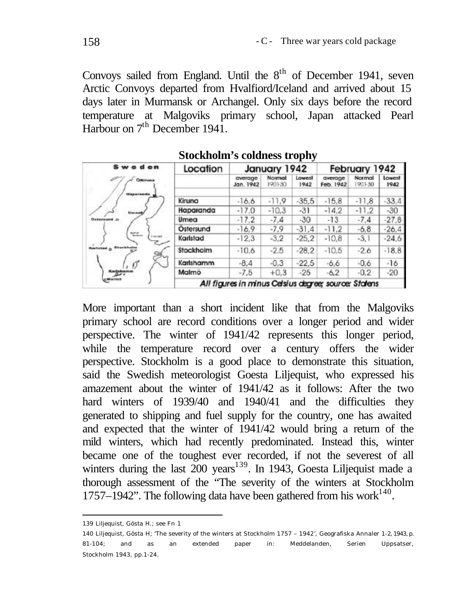Convoys sailed from England. Until the 8<sup>th</sup> of December 1941, seven Arctic Convoys departed from Hvalfiord/Iceland and arrived about 15 days later in Murmansk or Archangel. Only six days before the record temperature at Malgoviks primary school, Japan attacked Pearl Harbour on 7<sup>th</sup> December 1941.

| <b>Sweden</b>               | Location                                             | January 1942         |                  | February 1942  |                      |                  |                |
|-----------------------------|------------------------------------------------------|----------------------|------------------|----------------|----------------------|------------------|----------------|
| Ostimona                    |                                                      | average<br>Jan. 1942 | Normal<br>190130 | Lowest<br>1942 | average<br>Feb. 1942 | Normal<br>901-30 | Lowest<br>1942 |
| <b>Hanaranda</b>            | Kiruna                                               | $-16.6$              | $-11.9$          | $-35.5$        | $-15.8$              | $-11.8$          | $-33.4$        |
| timents                     | Haparanda                                            | $-17.0$              | $-10.3$          | $-31$          | $-14.2$              | $-11.2$          | $-30$          |
| Оквенный ф                  | Umea                                                 | $-17.2$              | $-7.4$           | $-30$          | $-13$                | $-7.4$           | $-27.8$        |
|                             | Ostersund                                            | $-16.9$              | $-7.9$           | $-31.4$        | $-11,2$              | $-6,8$           | $-26.4$        |
| nee.<br>Finland             | Karlstad                                             | $-12.3$              | $-3.2$           | $-25.2$        | $-10.8$              | $-3.1$           | $-24.6$        |
| <b>Raristad o</b> Stankhalm | Stockholm                                            | $-10.6$              | $-2.5$           | $-28.2$        | $-10.5$              | $-2.6$           | $-18.8$        |
| Ø                           | Karlshamm                                            | $-8.4$               | $-0.3$           | $-22.5$        | $-6.6$               | $-0.6$           | $-16$          |
| Kadahamm                    | Malmö                                                | $-7.5$               | $+0.3$           | $-25$          | $-6.2$               | $-0.2$           | $-20$          |
| <b>Billian I statud</b>     | All figures in minus Celsius degree; source: Statens |                      |                  |                |                      |                  |                |

Stockholm's coldness trophy

More important than a short incident like that from the Malgoviks primary school are record conditions over a longer period and wider perspective. The winter of 1941/42 represents this longer period, while the temperature record over a century offers the wider perspective. Stockholm is a good place to demonstrate this situation, said the Swedish meteorologist Goesta Liljequist, who expressed his amazement about the winter of 1941/42 as it follows: After the two hard winters of 1939/40 and 1940/41 and the difficulties they generated to shipping and fuel supply for the country, one has awaited and expected that the winter of 1941/42 would bring a return of the mild winters, which had recently predominated. Instead this, winter became one of the toughest ever recorded, if not the severest of all winters during the last  $200 \text{ years}^{139}$ . In 1943, Goesta Liljequist made a thorough assessment of the "The severity of the winters at Stockholm 1757–1942". The following data have been gathered from his work $140$ .

l

<sup>139</sup> Liljequist, Gösta H.; see Fn 1

<sup>140</sup> Liljequist, Gösta H; 'The severity of the winters at Stockholm 1757 – 1942', Geografiska Annaler 1-2, 1943, p. 81-104; and as an extended paper in: Meddelanden, Serien Uppsatser, Stockholm 1943, pp.1-24.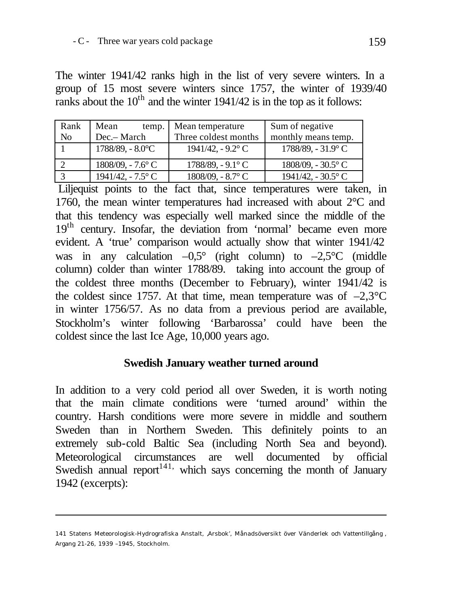The winter 1941/42 ranks high in the list of very severe winters. In a group of 15 most severe winters since 1757, the winter of 1939/40 ranks about the  $10<sup>th</sup>$  and the winter 1941/42 is in the top as it follows:

| Rank           | Mean<br>temp.                 | Mean temperature             | Sum of negative                |
|----------------|-------------------------------|------------------------------|--------------------------------|
| N <sub>o</sub> | Dec.- March                   | Three coldest months         | monthly means temp.            |
|                | 1788/89, - 8.0°C              | 1941/42. - 9.2 $\degree$ C   | $1788/89$ , - $31.9^{\circ}$ C |
|                | $1808/09$ , $-7.6^{\circ}$ C  | $1788/89$ , $-9.1^{\circ}$ C | $1808/09$ , $-30.5^{\circ}$ C  |
|                | $1941/42$ , - $7.5^{\circ}$ C | 1808/09, - 8.7° C            | $1941/42$ , - 30.5 $\degree$ C |

 Liljequist points to the fact that, since temperatures were taken, in 1760, the mean winter temperatures had increased with about 2°C and that this tendency was especially well marked since the middle of the 19<sup>th</sup> century. Insofar, the deviation from 'normal' became even more evident. A 'true' comparison would actually show that winter 1941/42 was in any calculation  $-0.5^{\circ}$  (right column) to  $-2.5^{\circ}$ C (middle column) colder than winter 1788/89. taking into account the group of the coldest three months (December to February), winter 1941/42 is the coldest since 1757. At that time, mean temperature was of  $-2,3$ °C in winter 1756/57. As no data from a previous period are available, Stockholm's winter following 'Barbarossa' could have been the coldest since the last Ice Age, 10,000 years ago.

#### **Swedish January weather turned around**

In addition to a very cold period all over Sweden, it is worth noting that the main climate conditions were 'turned around' within the country. Harsh conditions were more severe in middle and southern Sweden than in Northern Sweden. This definitely points to an extremely sub-cold Baltic Sea (including North Sea and beyond). Meteorological circumstances are well documented by official Swedish annual report<sup>141,</sup> which says concerning the month of January 1942 (excerpts):

l

<sup>141</sup> Statens Meteorologisk-Hydrografiska Anstalt, 'Arsbok', Månadsöversikt över Vänderlek och Vattentillgång , Argang 21-26, 1939 –1945, Stockholm.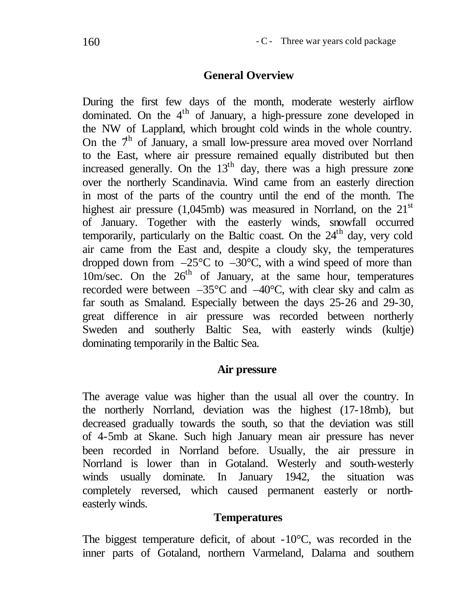# **General Overview**

During the first few days of the month, moderate westerly airflow dominated. On the 4<sup>th</sup> of January, a high-pressure zone developed in the NW of Lappland, which brought cold winds in the whole country. On the  $7<sup>h</sup>$  of January, a small low-pressure area moved over Norrland to the East, where air pressure remained equally distributed but then increased generally. On the  $13<sup>th</sup>$  day, there was a high pressure zone over the northerly Scandinavia. Wind came from an easterly direction in most of the parts of the country until the end of the month. The highest air pressure (1,045mb) was measured in Norrland, on the  $21<sup>st</sup>$ of January. Together with the easterly winds, snowfall occurred temporarily, particularly on the Baltic coast. On the  $24<sup>th</sup>$  day, very cold air came from the East and, despite a cloudy sky, the temperatures dropped down from  $-25^{\circ}$ C to  $-30^{\circ}$ C, with a wind speed of more than  $10m/sec$ . On the  $26<sup>th</sup>$  of January, at the same hour, temperatures recorded were between –35°C and –40°C, with clear sky and calm as far south as Smaland. Especially between the days 25-26 and 29-30, great difference in air pressure was recorded between northerly Sweden and southerly Baltic Sea, with easterly winds (kultje) dominating temporarily in the Baltic Sea.

# **Air pressure**

The average value was higher than the usual all over the country. In the northerly Norrland, deviation was the highest (17-18mb), but decreased gradually towards the south, so that the deviation was still of 4-5mb at Skane. Such high January mean air pressure has never been recorded in Norrland before. Usually, the air pressure in Norrland is lower than in Gotaland. Westerly and south-westerly winds usually dominate. In January 1942, the situation was completely reversed, which caused permanent easterly or northeasterly winds.

# **Temperatures**

The biggest temperature deficit, of about -10°C, was recorded in the inner parts of Gotaland, northern Varmeland, Dalarna and southern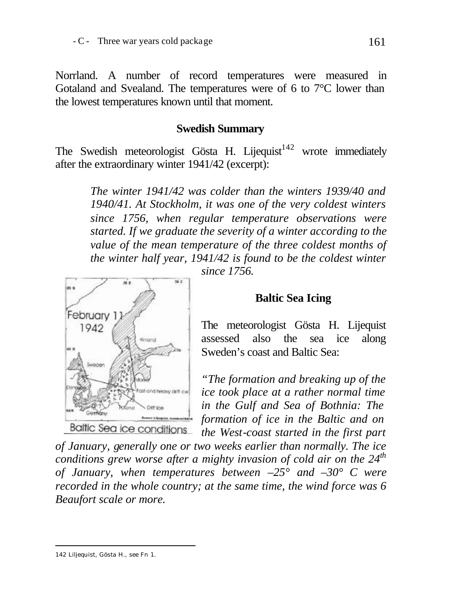Norrland. A number of record temperatures were measured in Gotaland and Svealand. The temperatures were of 6 to 7°C lower than the lowest temperatures known until that moment.

# **Swedish Summary**

The Swedish meteorologist Gösta H. Lijequist<sup>142</sup> wrote immediately after the extraordinary winter 1941/42 (excerpt):

> *The winter 1941/42 was colder than the winters 1939/40 and 1940/41. At Stockholm, it was one of the very coldest winters since 1756, when regular temperature observations were started. If we graduate the severity of a winter according to the value of the mean temperature of the three coldest months of the winter half year, 1941/42 is found to be the coldest winter*



#### *since 1756.*

#### **Baltic Sea Icing**

The meteorologist Gösta H. Lijequist assessed also the sea ice along Sweden's coast and Baltic Sea:

*"The formation and breaking up of the ice took place at a rather normal time in the Gulf and Sea of Bothnia: The formation of ice in the Baltic and on the West-coast started in the first part* 

*of January, generally one or two weeks earlier than normally. The ice conditions grew worse after a mighty invasion of cold air on the 24th of January, when temperatures between –25° and –30° C were recorded in the whole country; at the same time, the wind force was 6 Beaufort scale or more.* 

l

<sup>142</sup> Liljequist, Gösta H., see Fn 1.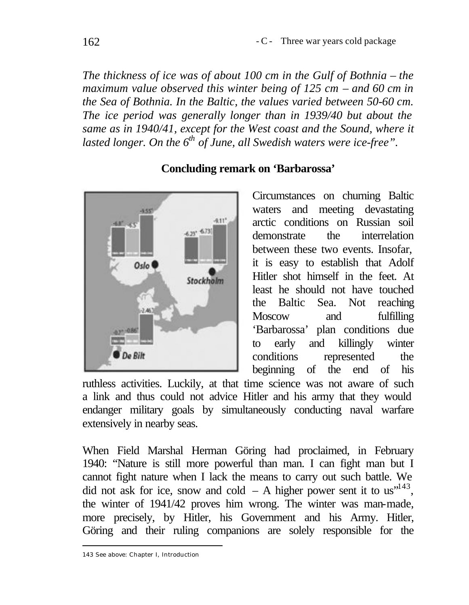*The thickness of ice was of about 100 cm in the Gulf of Bothnia – the maximum value observed this winter being of 125 cm – and 60 cm in the Sea of Bothnia. In the Baltic, the values varied between 50-60 cm. The ice period was generally longer than in 1939/40 but about the same as in 1940/41, except for the West coast and the Sound, where it lasted longer. On the 6th of June, all Swedish waters were ice-free".*



#### **Concluding remark on 'Barbarossa'**

Circumstances on churning Baltic waters and meeting devastating arctic conditions on Russian soil demonstrate the interrelation between these two events. Insofar, it is easy to establish that Adolf Hitler shot himself in the feet. At least he should not have touched the Baltic Sea. Not reaching Moscow and fulfilling 'Barbarossa' plan conditions due to early and killingly winter conditions represented the beginning of the end of his

ruthless activities. Luckily, at that time science was not aware of such a link and thus could not advice Hitler and his army that they would endanger military goals by simultaneously conducting naval warfare extensively in nearby seas.

When Field Marshal Herman Göring had proclaimed, in February 1940: "Nature is still more powerful than man. I can fight man but I cannot fight nature when I lack the means to carry out such battle. We did not ask for ice, snow and cold  $- A$  higher power sent it to us<sup> $143$ </sup>, the winter of 1941/42 proves him wrong. The winter was man-made, more precisely, by Hitler, his Government and his Army. Hitler, Göring and their ruling companions are solely responsible for the

l 143 See above: Chapter I, Introduction